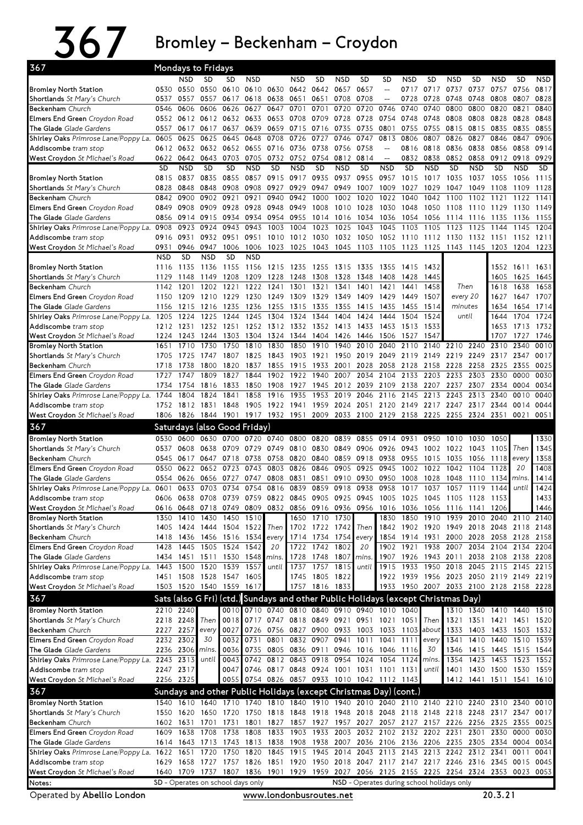## 367 Bromley–Beckenham–Croydon

|                                                                |              |                | <b>Mondays to Fridays</b>                                                                 |                |              |                          |              |                |              |                                              |                          |              |                                                                                                             |              |              |              |                          |              |
|----------------------------------------------------------------|--------------|----------------|-------------------------------------------------------------------------------------------|----------------|--------------|--------------------------|--------------|----------------|--------------|----------------------------------------------|--------------------------|--------------|-------------------------------------------------------------------------------------------------------------|--------------|--------------|--------------|--------------------------|--------------|
|                                                                |              | NSD            | <b>SD</b>                                                                                 | SD             | <b>NSD</b>   |                          | <b>NSD</b>   | <b>SD</b>      | <b>NSD</b>   | <b>SD</b>                                    | SD                       | NSD          | <b>SD</b>                                                                                                   | <b>NSD</b>   | <b>SD</b>    | <b>NSD</b>   | <b>SD</b>                | <b>NSD</b>   |
| <b>Bromley North Station</b>                                   | 0530         | 0550           | 0550                                                                                      | 0610           |              | 0610 0630                |              | 0642 0642 0657 |              | 0657                                         | $\overline{a}$           | 0717         | 0717                                                                                                        | 0737         | 0737         | 0757         | 0756                     | 0817         |
| Shortlands St Mary's Church                                    | 0537         | 0557           | 0557                                                                                      | 0617           | 0618         | 0638                     | 0651         | 0651           | 0708         | 0708                                         | $\sim$                   | 0728         | 0728                                                                                                        | 0748         | 0748         | 0808         | 0807                     | 0828         |
| Beckenham Church                                               | 0546         | 0606           | 0606<br>0552 0612 0612 0632                                                               | 0626           | 0627<br>0633 | 0647                     | 0701<br>0708 | 0701<br>0709   | 0720<br>0728 | 0720                                         | 0746<br>0754             | 0740         | 0740<br>0748                                                                                                | 0800<br>0808 | 0800<br>0808 | 0820         | 0821<br>0828             | 0840<br>0848 |
| Elmers End Green Croydon Road<br>The Glade Glade Gardens       | 0557         | 0617           | 0617                                                                                      | 0637           | 0639         | 0653<br>0659             | 0715         | 0716 0735      |              | 0728<br>0735                                 | 0801                     | 0748<br>0755 | 0755                                                                                                        | 0815         | 0815         | 0828<br>0835 | 0835                     | 0855         |
| Shirley Oaks Primrose Lane/Poppy La.                           | 0605         | 0625           | 0625                                                                                      | 0645           | 0648         | 0708                     | 0726         | 0727           | 0746         | 0747                                         | 0813                     | 0806         | 0807                                                                                                        | 0826         | 0827         | 0846         | 0847                     | 0906         |
| Addiscombe tram stop                                           |              | 0612 0632      | 0632                                                                                      |                | 0652 0655    | 0716                     | 0736         | 0738           | 0756         | 0758                                         | $-$                      | 0816         | 0818                                                                                                        | 0836         | 0838         | 0856         | 0858                     | 0914         |
| West Croydon St Michael's Road                                 | 0622         | 0642           | 0643                                                                                      | 0703           | 0705         | 0732                     | 0752         |                | 0754 0812    | 0814                                         | $\overline{\phantom{a}}$ | 0832         | 0838                                                                                                        | 0852         | 0858         | 0912         | 0918                     | 0929         |
|                                                                | SD           | <b>NSD</b>     | <b>SD</b>                                                                                 | SD             | <b>NSD</b>   | <b>SD</b>                | <b>NSD</b>   | <b>SD</b>      | <b>NSD</b>   | <b>SD</b>                                    | <b>NSD</b>               | <b>SD</b>    | <b>NSD</b>                                                                                                  | <b>SD</b>    | <b>NSD</b>   | <b>SD</b>    | <b>NSD</b>               | SD.          |
| <b>Bromley North Station</b>                                   | 0815         | 0837           | 0835                                                                                      | 0855           | 0857         | 0915                     | 0917         | 0935           | 0937         | 0955                                         | 0957                     | 1015         | 1017                                                                                                        | 1035         | 1037         | 1055         | 1056                     | 1115         |
| Shortlands St Mary's Church                                    | 0828         | 0848           | 0848                                                                                      | 0908           | 0908         | 0927                     | 0929         | 0947 0949      |              | 1007                                         | 1009                     | 1027         | 1029                                                                                                        | 1047         | 1049         | 1108         | 1109                     | 1128         |
| Beckenham Church                                               | 0842         | 0900           | 0902                                                                                      | 0921           | 0921         | 0940                     | 0942         | 1000           | 1002         | 1020                                         | 1022                     | 1040         | 1042                                                                                                        | 1100         | 1102         | 1121         | 1122                     | 1141         |
| Elmers End Green Croydon Road                                  | 0849         | 0908           | 0909                                                                                      | 0928           | 0928         | 0948                     | 0949         | 1008           | 1010         | 1028                                         | 1030                     | 1048         | 1050                                                                                                        | 1108         | 1110         | 1129         | 1130                     | 1149         |
| The Glade Glade Gardens                                        | 0856         | 0914           | 0915                                                                                      | 0934           | 0934         | 0954                     | 0955         |                | 1014 1016    | 1034                                         | 1036                     | 1054         | 1056                                                                                                        | 1114         | 1116         | 1135         | 1136                     | 1155         |
| Shirley Oaks Primrose Lane/Poppy La. 0908                      |              | 0923           | 0924                                                                                      | 0943           | 0943         | 1003                     | 1004         | 1023           | 1025         | 1043                                         | 1045                     | 1103         | 1105                                                                                                        | 1123         | 1125         | 1144         | 1145                     | 1204         |
| Addiscombe tram stop                                           | 0916<br>0931 | 0931<br>0946   | 0932<br>0947                                                                              | 0951<br>1006   | 0951<br>1006 | 1010<br>1023             | 1012<br>1025 | 1030           | 1032         | 1050                                         | 1052                     | 1110         | 1112                                                                                                        | 1130         | 1132         | 1151         | 1152<br>1204 1223        | 1211         |
| West Croydon St Michael's Road                                 | <b>NSD</b>   | <b>SD</b>      | <b>NSD</b>                                                                                | <b>SD</b>      | <b>NSD</b>   |                          |              |                |              |                                              |                          |              | 1043 1045 1103 1105 1123 1125 1143 1145 1203                                                                |              |              |              |                          |              |
| <b>Bromley North Station</b>                                   | 1116         | 1135           | 1136                                                                                      | 1155           | 1156         | 1215                     | 1235         | 1255           | 1315         | 1335                                         | 1355                     | 1415         | 1432                                                                                                        |              |              | 1552         | 1611                     | 1631         |
| Shortlands St Mary's Church                                    | 1129         | 1148           | 1149                                                                                      | 1208           | 1209         | 1228                     | 1248         | 1308           | 1328         | 1348                                         | 1408                     | 1428         | 1445                                                                                                        |              |              | 1605         | 1625                     | 1645         |
| Beckenham Church                                               | 1142         | 1201           | 1202                                                                                      | 1221           | 1222         | 1241                     | 1301         | 1321           | 1341         | 1401                                         | 1421                     | 1441         | 1458                                                                                                        |              | Then         | 1618         | 1638                     | 1658         |
| Elmers End Green Croydon Road                                  | 1150         | 1209           | 1210                                                                                      | 1229           | 1230         | 1249                     | 1309         | 1329           | 1349         | 1409                                         | 1429                     | 1449         | 1507                                                                                                        | every 20     |              | 1627         | 1647                     | 1707         |
| The Glade Glade Gardens                                        | 1156         | 1215           | 1216                                                                                      | 1235           | 1236         | 1255                     | 1315         | 1335           | 1355         | 1415                                         | 1435                     | 1455         | 1514                                                                                                        |              | minutes      | 1634         | 1654                     | 1714         |
| Shirley Oaks Primrose Lane/Poppy La. 1205                      |              | 1224           | 1225                                                                                      | 1244           | 1245         | 1304                     | 1324         | 1344           | 1404         | 1424                                         | 1444                     | 1504         | 1524                                                                                                        |              | until        | 1644         | 1704                     | 1724         |
| Addiscombe tram stop                                           | 1212         | 1231           | 1232                                                                                      | 1251           | 1252         | 1312                     | 1332         | 1352 1413      |              | 1433                                         | 1453                     | 1513         | 1533                                                                                                        |              |              | 1653         | 1713                     | 1732         |
| West Croydon St Michael's Road                                 | 1224         | 1243           | 1244                                                                                      | 1303           |              | 1304 1324                |              | 1344 1404 1426 |              | 1446                                         | 1506                     | 1527         | 1547                                                                                                        |              |              | 1707         | 1727                     | 1746         |
| <b>Bromley North Station</b>                                   | 1651         | 1710           | 1730                                                                                      | 1750           | 1810         | 1830                     | 1850         | 1910           | 1940         | 2010                                         | 2040                     | 2110         | 2140                                                                                                        | 2210         | 2240         | 2310         | 2340                     | 0010         |
| Shortlands St Mary's Church                                    | 1705         | 1725           | 1747                                                                                      | 1807           | 1825         | 1843                     | 1903         | 1921           | 1950         | 2019                                         | 2049                     | 2119         | 2149                                                                                                        | 2219         | 2249         | 2317         | 2347                     | 0017         |
| Beckenham Church                                               | 1718         | 1738           | 1800                                                                                      | 1820           | 1837         | 1855                     | 1915         | 1933           | 2001         | 2028                                         | 2058                     | 2128         | 2158                                                                                                        | 2228         | 2258         | 2325         | 2355                     | 0025         |
| Elmers End Green Croydon Road                                  | 1727         | 1747           | 1809                                                                                      | 1827           | 1844         | 1902                     | 1922         | 1940           | 2007         | 2034                                         | 2104                     | 2133         | 2203                                                                                                        | 2233         | 2303         | 2330         | 0000                     | 0030         |
| The Glade Glade Gardens                                        | 1734         | 1754           | 1816                                                                                      | 1833           | 1850         | 1908                     | 1927         | 1945           | 2012         | 2039                                         | 2109                     | 2138         | 2207                                                                                                        | 2237         | 2307         | 2334         | 0004                     | 0034         |
| Shirley Oaks Primrose Lane/Poppy La.                           | 1744         | 1804           | 1824                                                                                      | 1841           | 1858         | 1916                     | 1935         | 1953           | 2019         | 2046                                         | 2116                     | 2145         | 2213                                                                                                        | 2243         | 2313         | 2340         | 0010                     | 0040         |
| Addiscombe tram stop<br>West Croydon St Michael's Road         | 1806         |                | 1752 1812 1831<br>1826 1844                                                               | 1848           | 1905 1922    | 1901 1917 1932 1951      | 1941         | 1959 2024      | 2009 2033    | 2100 2129 2158                               | 2051 2120 2149           |              | 2217 2247 2317 2344<br>2225                                                                                 | 2255         | 2324 2351    |              | 0014<br>0021             | 0044<br>0051 |
|                                                                |              |                |                                                                                           |                |              |                          |              |                |              |                                              |                          |              |                                                                                                             |              |              |              |                          |              |
| 367                                                            |              |                | Saturdays (also Good Friday)                                                              |                |              |                          |              |                |              |                                              |                          |              |                                                                                                             |              |              |              |                          |              |
| <b>Bromley North Station</b>                                   | 0530         | 0600           | 0630                                                                                      | 0700           | 0720         | 0740                     | 0800         | 0820           | 0839         | 0855                                         | 0914                     | 0931         | 0950                                                                                                        | 1010         | 1030         | 1050         |                          | 1330         |
| Shortlands St Mary's Church                                    | 0537         | 0608           | 0638                                                                                      | 0709           | 0729         | 0749                     | 0810         | 0830           | 0849         | 0906                                         | 0926                     | 0943         | 1002                                                                                                        | 1022         | 1043         | 1105         | Then                     | 1345         |
| Beckenham Church<br>Elmers End Green Croydon Road              | 0545<br>0550 | 0617<br>0622   | 0647<br>0652                                                                              | 0718<br>0723   | 0738<br>0743 | 0758<br>0803             | 0820<br>0826 | 0840<br>0846   | 0859<br>0905 | 0918<br>0925                                 | 0938<br>0945             | 0955<br>1002 | 1015<br>1022                                                                                                | 1035<br>1042 | 1056<br>1104 | 1118<br>1128 | every<br>20              | 1358<br>1408 |
| The Glade Glade Gardens                                        | 0554         | 0626           | 0656                                                                                      | 0727           | 0747         | 0808                     | 0831         | 0851           | 0910         | 0930                                         | 0950                     | 1008         | 1028                                                                                                        | 1048         | 1110         | 1134 mins.   |                          | 1414         |
| Shirley Oaks Primrose Lane/Poppy La.                           | 0601         | 0633           | 0703                                                                                      | 0734           | 0754         | 0816                     | 0839         | 0859           | 0918         | 0938                                         | 0958                     | 1017         | 1037                                                                                                        | 1057         | 1119         | 1144         | until                    | 1424         |
| Addiscombe tram stop                                           |              |                |                                                                                           |                |              |                          |              | 0905 0925      |              | 0945                                         | 1005                     | 1025         | 1045                                                                                                        |              |              |              |                          | 1433         |
|                                                                |              |                |                                                                                           |                |              |                          |              |                |              |                                              |                          |              |                                                                                                             |              |              |              |                          |              |
|                                                                | 0606         | 0638           | 0708                                                                                      | 0739           | 0759         | 0822 0845                |              |                |              |                                              |                          |              |                                                                                                             | 1105         | 1128         | 1153         |                          |              |
| West Croydon St Michael's Road<br><b>Bromley North Station</b> |              | 1350 1410      | 0616 0648 0718 0749 0809 0832 0856 0916 0936 0956 1016 1036 1056 1116 1141 1206           | 1430 1450 1510 |              |                          |              | 1650 1710 1730 |              |                                              |                          |              | 1830 1850 1910 1939 2010 2040 2110 2140                                                                     |              |              |              |                          | 1446         |
| Shortlands St Mary's Church                                    |              |                | 1405 1424 1444 1504 1522                                                                  |                |              | <b>Then</b>              |              | 1702 1722 1742 |              | Then                                         |                          |              | 1842 1902 1920 1949 2018 2048                                                                               |              |              |              | 2118 2148                |              |
| Beckenham Church                                               |              |                | 1418 1436 1456 1516 1534                                                                  |                |              | every                    |              | 1714 1734 1754 |              | every                                        |                          |              | 1854 1914 1931 2000 2028 2058 2128 2158                                                                     |              |              |              |                          |              |
| Elmers End Green Croydon Road                                  | 1428         | 1445           |                                                                                           | 1505 1524 1542 |              | 20                       |              | 1722 1742 1802 |              | 20                                           |                          | 1902 1921    | 1938                                                                                                        | 2007         |              |              | 2034 2104 2134           | 2204         |
| The Glade Glade Gardens                                        |              |                | 1434 1451 1511 1530 1548 mins.                                                            |                |              |                          |              | 1728 1748 1807 |              | mins.                                        |                          |              | 1907 1926 1943 2011                                                                                         |              |              |              | 2038 2108 2138 2208      |              |
| Shirley Oaks Primrose Lane/Poppy La.                           |              | 1443 1500      | 1520                                                                                      | 1539           | 1557         | until                    | 1737         |                | 1757 1815    | until                                        |                          | 1915 1933    | 1950                                                                                                        | 2018         | 2045 2115    |              | 2145                     | 2215         |
| Addiscombe tram stop                                           |              |                | 1451 1508 1528 1547 1605                                                                  |                |              |                          |              | 1745 1805 1822 |              |                                              |                          |              | 1922 1939 1956 2023 2050 2119 2149 2219                                                                     |              |              |              |                          |              |
| West Croydon St Michael's Road                                 |              |                | 1503 1520 1540 1559 1617                                                                  |                |              |                          |              | 1757 1816 1833 |              |                                              |                          |              | 1933 1950 2007 2033 2100 2128 2158 2228                                                                     |              |              |              |                          |              |
| 367                                                            |              |                | Sats (also G Fri) (ctd.) Sundays and other Public Holidays (except Christmas Day)         |                |              |                          |              |                |              |                                              |                          |              |                                                                                                             |              |              |              |                          |              |
| <b>Bromley North Station</b>                                   |              | 2210 2240      |                                                                                           |                |              |                          |              |                |              | 0010 0710 0740 0810 0840 0910 0940 1010 1040 |                          |              |                                                                                                             |              |              |              | 1310 1340 1410 1440 1510 |              |
| Shortlands St Mary's Church                                    |              | 2218 2248 Then |                                                                                           |                |              |                          |              |                |              | 0018 0717 0747 0818 0849 0921 0951 1021 1051 |                          |              | Then                                                                                                        |              |              |              | 1321 1351 1421 1451 1520 |              |
| Beckenham Church                                               |              | 2227 2257      | every                                                                                     | 0027           |              |                          |              |                |              | 0726 0756 0827 0900 0933 1003 1033 1103      |                          |              | about                                                                                                       | 1333         |              | 1403 1433    | 1503 1532                |              |
| Elmers End Green Croydon Road                                  |              | 2232 2302      | 30                                                                                        | 0032           | 0731         | 0801                     |              | 0832 0907 0941 |              |                                              | 1011 1041 1111           |              | every                                                                                                       | 1341         |              | 1410 1440    | 1510 1539                |              |
| The Glade Glade Gardens                                        |              | 2236 2306 mins |                                                                                           | 0036           |              | 0735 0805 0836 0911 0946 |              |                |              | 1016 1046 1116                               |                          |              | 30                                                                                                          | 1346         |              |              | 1415 1445 1515 1544      |              |
| Shirley Oaks Primrose Lane/Poppy La. 2243 2313                 |              |                | until                                                                                     | 0043           |              | 0742 0812 0843 0918 0954 |              |                |              |                                              | 1024 1054 1124 mins.     |              |                                                                                                             | 1354         | 1423 1453    |              | 1523 1552                |              |
| Addiscombe tram stop                                           |              | 2247 2317      |                                                                                           | 0047           |              |                          |              |                |              | 0746 0817 0848 0924 1001 1031 1101 1131      |                          |              | until                                                                                                       |              |              |              | 1401 1430 1500 1530 1559 |              |
| West Croydon St Michael's Road                                 |              | 2256 2325      |                                                                                           | 0055           |              |                          |              |                |              | 0754 0826 0857 0933 1010 1042 1112 1143      |                          |              |                                                                                                             |              |              |              | 1412 1441 1511 1541 1610 |              |
| 367                                                            |              |                | Sundays and other Public Holidays (except Christmas Day) (cont.)                          |                |              |                          |              |                |              |                                              |                          |              |                                                                                                             |              |              |              |                          |              |
| <b>Bromley North Station</b>                                   |              |                | 1540 1610 1640 1710 1740 1810 1840 1910 1940 2010 2040 2110 2140 2210 2240 2310 2340      |                |              |                          |              |                |              |                                              |                          |              |                                                                                                             |              |              |              |                          | 0010         |
| Shortlands St Mary's Church                                    |              | 1550 1620      | 1650 1720                                                                                 |                |              |                          |              |                |              |                                              |                          |              | 1750 1818 1848 1918 1948 2018 2048 2118 2148 2218 2248 2317 2347                                            |              |              |              |                          | 0017         |
| Beckenham Church                                               |              | 1602 1631      |                                                                                           |                |              |                          |              |                |              |                                              |                          |              | 1701 1731 1801 1827 1857 1927 1957 2027 2057 2127 2157 2226 2256 2325 2355 0025                             |              |              |              |                          |              |
| Elmers End Green Croydon Road                                  |              | 1609 1638      | 1708                                                                                      | 1738           | 1808         |                          |              |                |              |                                              |                          |              | 1833 1903 1933 2003 2032 2102 2132 2202 2231 2301 2330 0000                                                 |              |              |              |                          | 0030         |
| The Glade Glade Gardens                                        |              |                | 1614 1643 1713                                                                            | 1743           |              | 1813 1838                |              |                |              |                                              |                          |              | 1908 1938 2007 2036 2106 2136 2206 2235 2305 2334 0004                                                      |              |              |              |                          | 0034         |
| Shirley Oaks Primrose Lane/Poppy La. 1622 1651                 |              |                | 1720<br>1629 1658 1727 1757                                                               | 1750           | 1820         | 1845                     |              | 1915 1945 2014 |              |                                              |                          |              | 2043 2113 2143 2213 2242 2312 2341<br>1826 1851 1920 1950 2018 2047 2117 2147 2217 2246 2316 2345 0015 0045 |              |              |              | 0011                     | 0041         |
| Addiscombe tram stop<br>West Croydon St Michael's Road         |              |                | 1640 1709 1737 1807 1836 1901 1929 1959 2027 2056 2125 2155 2225 2254 2324 2353 0023 0053 |                |              |                          |              |                |              |                                              |                          |              |                                                                                                             |              |              |              |                          |              |
| Notes:                                                         |              |                | SD - Operates on school days only                                                         |                |              |                          |              |                |              |                                              |                          |              | NSD - Operates during school holidays only                                                                  |              |              |              |                          |              |